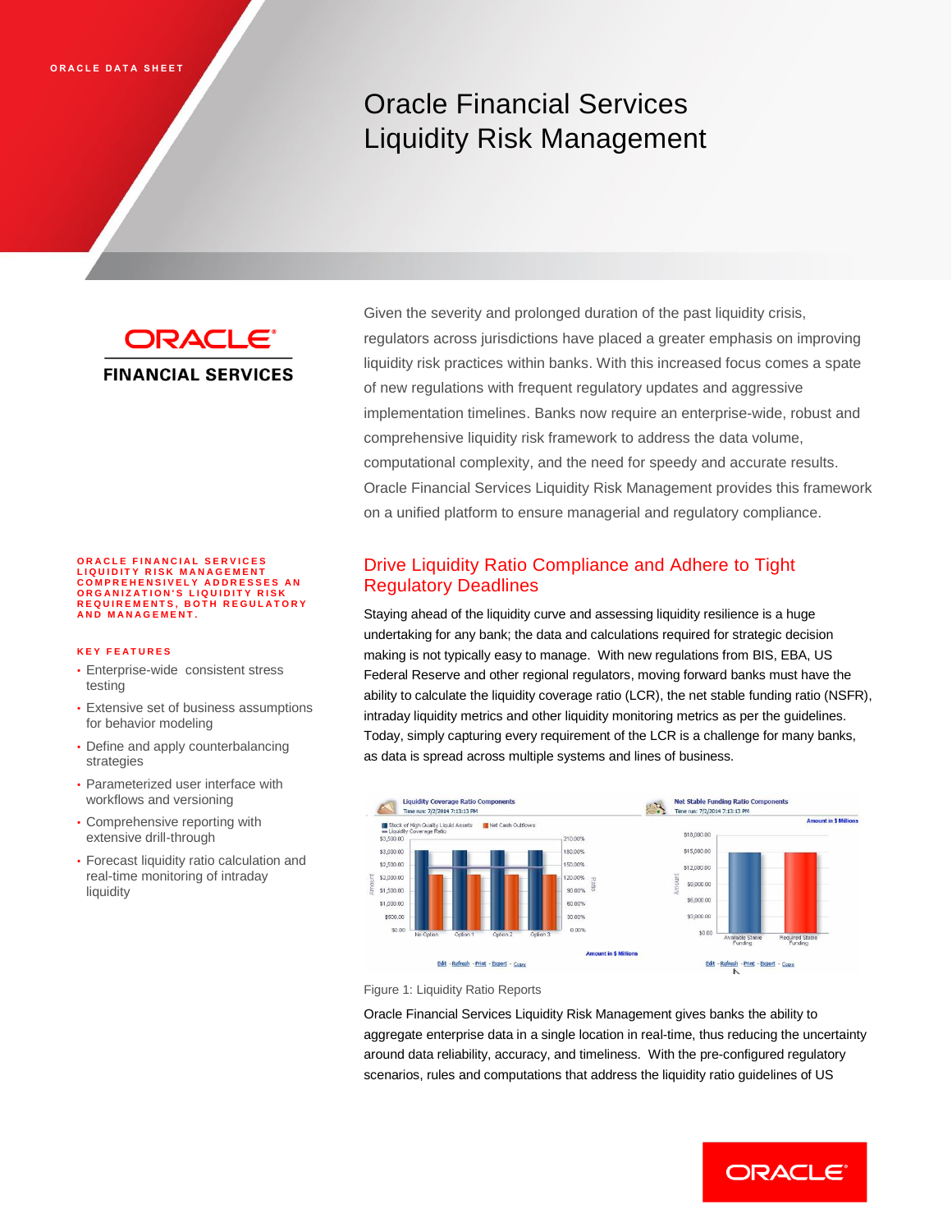# Oracle Financial Services Liquidity Risk Management

**ORACLE® FINANCIAL SERVICES** 

# ORACLE FINANCIAL SERVICES<br>LIQUIDITY RISK MANAGEMENT<br>COMPREHENSIVELY ADDRESSES AN<br>ORGANIZATION'S LIQUIDITY RISK **R E Q U I R E M E N T S , B O T H R E G U L A T O R Y A N D M A N A G E M E N T .**

#### **K E Y F E A T U R E S**

- Enterprise-wide consistent stress testing
- Extensive set of business assumptions for behavior modeling
- Define and apply counterbalancing strategies
- Parameterized user interface with workflows and versioning
- Comprehensive reporting with extensive drill-through
- Forecast liquidity ratio calculation and real-time monitoring of intraday liquidity

Given the severity and prolonged duration of the past liquidity crisis, regulators across jurisdictions have placed a greater emphasis on improving liquidity risk practices within banks. With this increased focus comes a spate of new regulations with frequent regulatory updates and aggressive implementation timelines. Banks now require an enterprise-wide, robust and comprehensive liquidity risk framework to address the data volume, computational complexity, and the need for speedy and accurate results. Oracle Financial Services Liquidity Risk Management provides this framework on a unified platform to ensure managerial and regulatory compliance.

# Drive Liquidity Ratio Compliance and Adhere to Tight Regulatory Deadlines

Staying ahead of the liquidity curve and assessing liquidity resilience is a huge undertaking for any bank; the data and calculations required for strategic decision making is not typically easy to manage. With new regulations from BIS, EBA, US Federal Reserve and other regional regulators, moving forward banks must have the ability to calculate the liquidity coverage ratio (LCR), the net stable funding ratio (NSFR), intraday liquidity metrics and other liquidity monitoring metrics as per the guidelines. Today, simply capturing every requirement of the LCR is a challenge for many banks, as data is spread across multiple systems and lines of business.



Figure 1: Liquidity Ratio Reports

Oracle Financial Services Liquidity Risk Management gives banks the ability to aggregate enterprise data in a single location in real-time, thus reducing the uncertainty around data reliability, accuracy, and timeliness. With the pre-configured regulatory scenarios, rules and computations that address the liquidity ratio guidelines of US

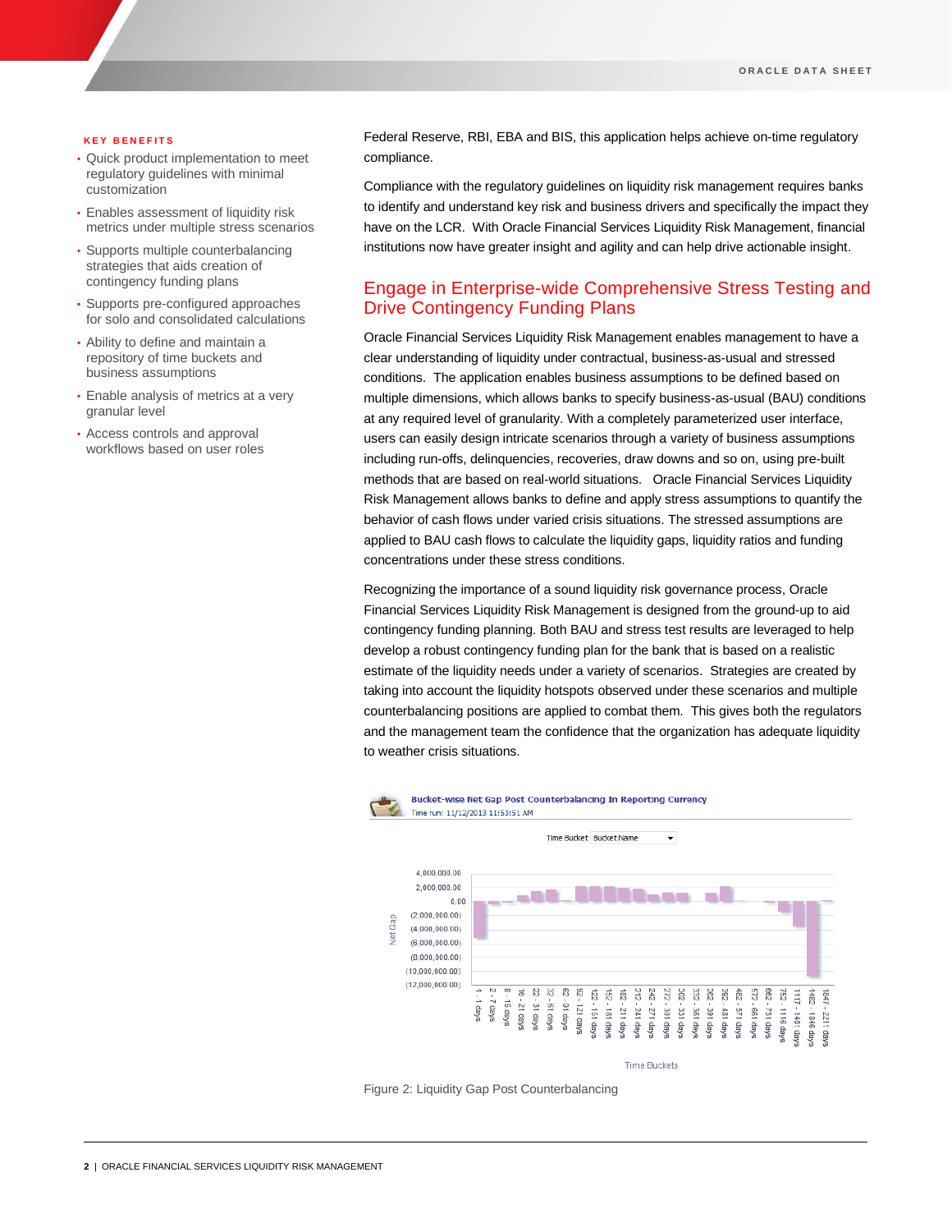#### **K E Y B E N E F I T S**

- Quick product implementation to meet regulatory guidelines with minimal customization
- Enables assessment of liquidity risk metrics under multiple stress scenarios
- Supports multiple counterbalancing strategies that aids creation of contingency funding plans
- Supports pre-configured approaches for solo and consolidated calculations
- Ability to define and maintain a repository of time buckets and business assumptions
- Enable analysis of metrics at a very granular level
- Access controls and approval workflows based on user roles

Federal Reserve, RBI, EBA and BIS, this application helps achieve on-time regulatory compliance.

Compliance with the regulatory guidelines on liquidity risk management requires banks to identify and understand key risk and business drivers and specifically the impact they have on the LCR. With Oracle Financial Services Liquidity Risk Management, financial institutions now have greater insight and agility and can help drive actionable insight.

# Engage in Enterprise-wide Comprehensive Stress Testing and Drive Contingency Funding Plans

Oracle Financial Services Liquidity Risk Management enables management to have a clear understanding of liquidity under contractual, business-as-usual and stressed conditions. The application enables business assumptions to be defined based on multiple dimensions, which allows banks to specify business-as-usual (BAU) conditions at any required level of granularity. With a completely parameterized user interface, users can easily design intricate scenarios through a variety of business assumptions including run-offs, delinquencies, recoveries, draw downs and so on, using pre-built methods that are based on real-world situations. Oracle Financial Services Liquidity Risk Management allows banks to define and apply stress assumptions to quantify the behavior of cash flows under varied crisis situations. The stressed assumptions are applied to BAU cash flows to calculate the liquidity gaps, liquidity ratios and funding concentrations under these stress conditions.

Recognizing the importance of a sound liquidity risk governance process, Oracle Financial Services Liquidity Risk Management is designed from the ground-up to aid contingency funding planning. Both BAU and stress test results are leveraged to help develop a robust contingency funding plan for the bank that is based on a realistic estimate of the liquidity needs under a variety of scenarios. Strategies are created by taking into account the liquidity hotspots observed under these scenarios and multiple counterbalancing positions are applied to combat them. This gives both the regulators and the management team the confidence that the organization has adequate liquidity to weather crisis situations.



Figure 2: Liquidity Gap Post Counterbalancing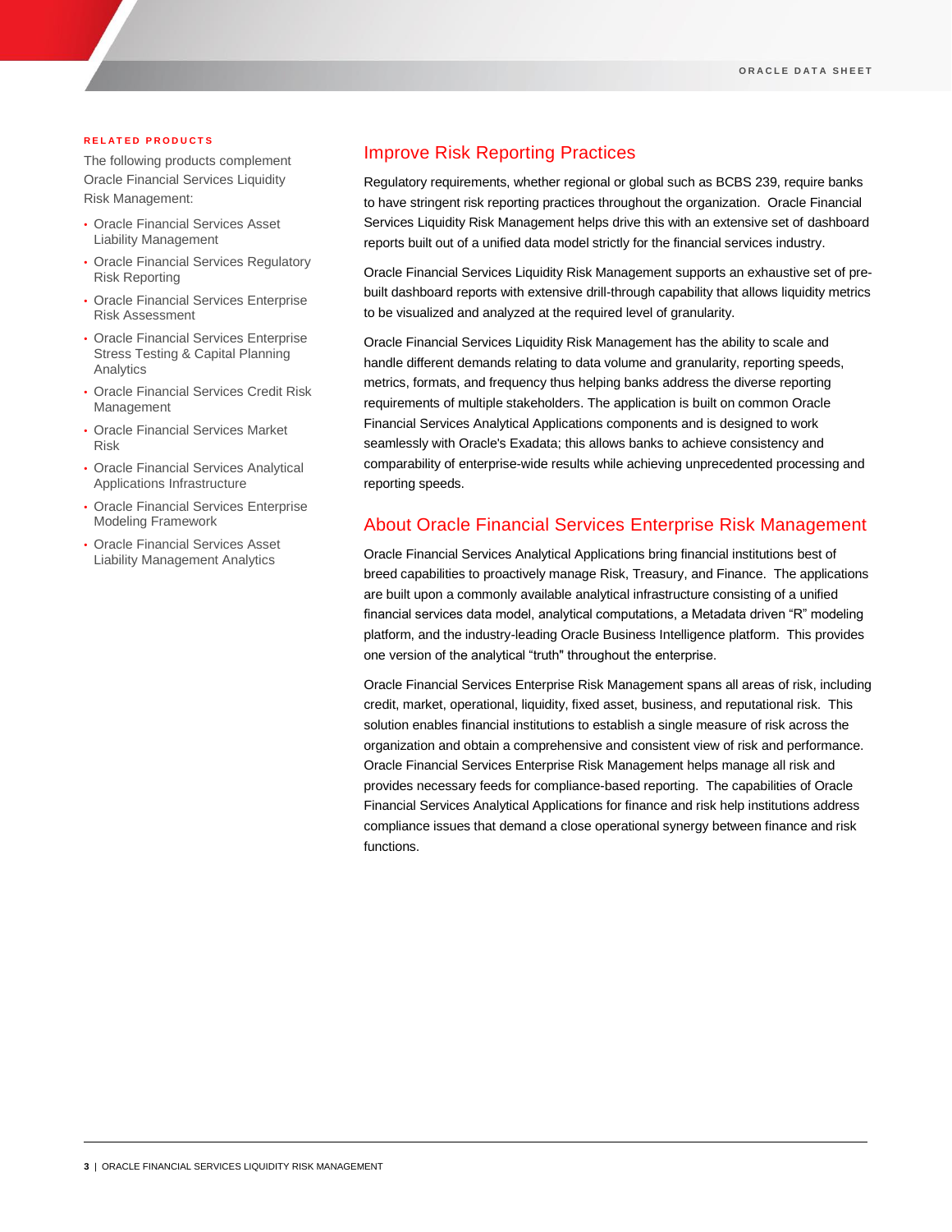#### **R E L A T E D P R O D U C T S**

The following products complement Oracle Financial Services Liquidity Risk Management:

- Oracle Financial Services Asset Liability Management
- Oracle Financial Services Regulatory Risk Reporting
- Oracle Financial Services Enterprise Risk Assessment
- Oracle Financial Services Enterprise Stress Testing & Capital Planning Analytics
- Oracle Financial Services Credit Risk Management
- Oracle Financial Services Market Risk
- Oracle Financial Services Analytical Applications Infrastructure
- Oracle Financial Services Enterprise Modeling Framework
- Oracle Financial Services Asset Liability Management Analytics

## Improve Risk Reporting Practices

Regulatory requirements, whether regional or global such as BCBS 239, require banks to have stringent risk reporting practices throughout the organization. Oracle Financial Services Liquidity Risk Management helps drive this with an extensive set of dashboard reports built out of a unified data model strictly for the financial services industry.

Oracle Financial Services Liquidity Risk Management supports an exhaustive set of prebuilt dashboard reports with extensive drill-through capability that allows liquidity metrics to be visualized and analyzed at the required level of granularity.

Oracle Financial Services Liquidity Risk Management has the ability to scale and handle different demands relating to data volume and granularity, reporting speeds, metrics, formats, and frequency thus helping banks address the diverse reporting requirements of multiple stakeholders. The application is built on common Oracle Financial Services Analytical Applications components and is designed to work seamlessly with Oracle's Exadata; this allows banks to achieve consistency and comparability of enterprise-wide results while achieving unprecedented processing and reporting speeds.

### About Oracle Financial Services Enterprise Risk Management

Oracle Financial Services Analytical Applications bring financial institutions best of breed capabilities to proactively manage Risk, Treasury, and Finance. The applications are built upon a commonly available analytical infrastructure consisting of a unified financial services data model, analytical computations, a Metadata driven "R" modeling platform, and the industry-leading Oracle Business Intelligence platform. This provides one version of the analytical "truth" throughout the enterprise.

Oracle Financial Services Enterprise Risk Management spans all areas of risk, including credit, market, operational, liquidity, fixed asset, business, and reputational risk. This solution enables financial institutions to establish a single measure of risk across the organization and obtain a comprehensive and consistent view of risk and performance. Oracle Financial Services Enterprise Risk Management helps manage all risk and provides necessary feeds for compliance-based reporting. The capabilities of Oracle Financial Services Analytical Applications for finance and risk help institutions address compliance issues that demand a close operational synergy between finance and risk functions.